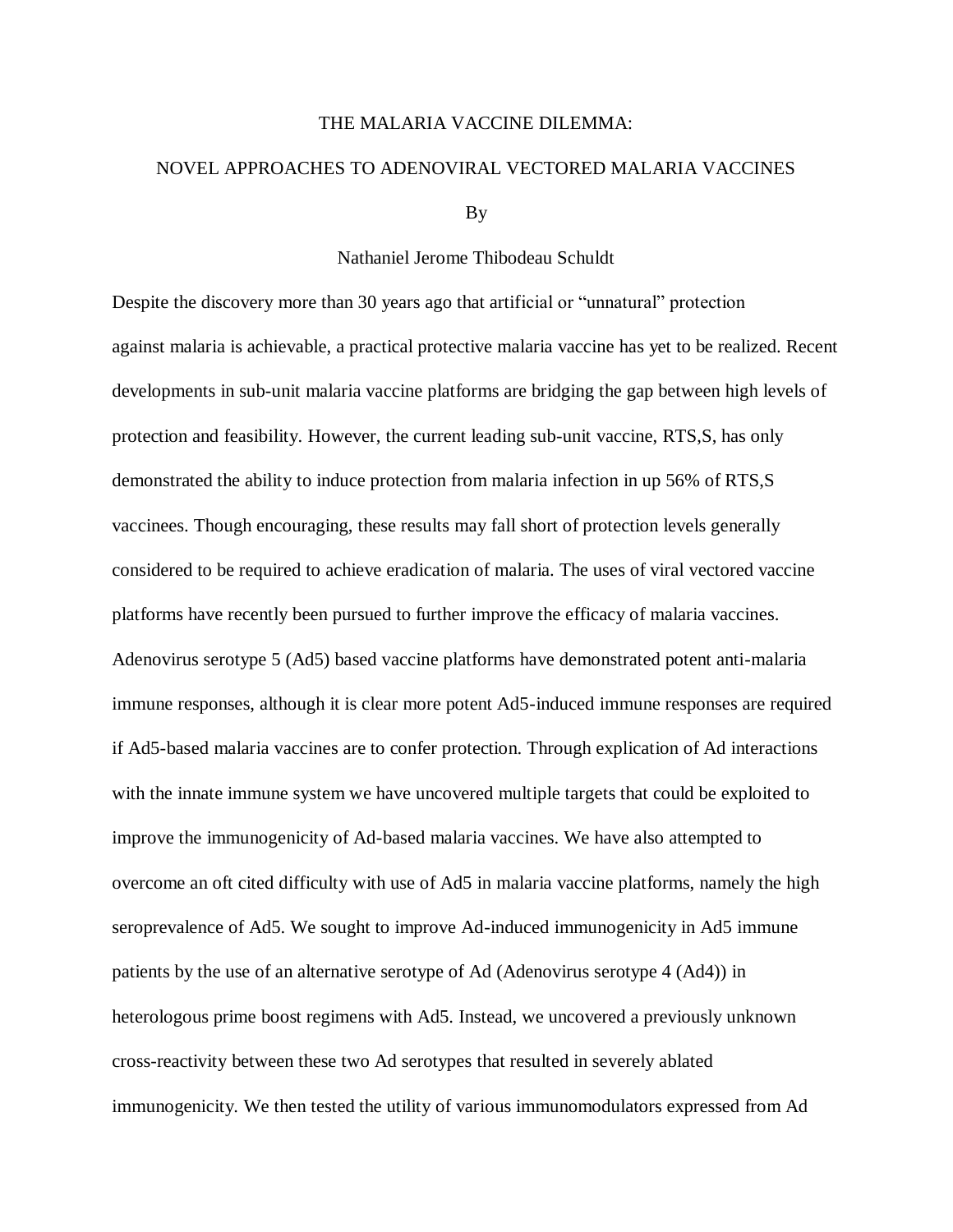## THE MALARIA VACCINE DILEMMA:

## NOVEL APPROACHES TO ADENOVIRAL VECTORED MALARIA VACCINES

By

## Nathaniel Jerome Thibodeau Schuldt

Despite the discovery more than 30 years ago that artificial or "unnatural" protection against malaria is achievable, a practical protective malaria vaccine has yet to be realized. Recent developments in sub-unit malaria vaccine platforms are bridging the gap between high levels of protection and feasibility. However, the current leading sub-unit vaccine, RTS,S, has only demonstrated the ability to induce protection from malaria infection in up 56% of RTS,S vaccinees. Though encouraging, these results may fall short of protection levels generally considered to be required to achieve eradication of malaria. The uses of viral vectored vaccine platforms have recently been pursued to further improve the efficacy of malaria vaccines. Adenovirus serotype 5 (Ad5) based vaccine platforms have demonstrated potent anti-malaria immune responses, although it is clear more potent Ad5-induced immune responses are required if Ad5-based malaria vaccines are to confer protection. Through explication of Ad interactions with the innate immune system we have uncovered multiple targets that could be exploited to improve the immunogenicity of Ad-based malaria vaccines. We have also attempted to overcome an oft cited difficulty with use of Ad5 in malaria vaccine platforms, namely the high seroprevalence of Ad5. We sought to improve Ad-induced immunogenicity in Ad5 immune patients by the use of an alternative serotype of Ad (Adenovirus serotype 4 (Ad4)) in heterologous prime boost regimens with Ad5. Instead, we uncovered a previously unknown cross-reactivity between these two Ad serotypes that resulted in severely ablated immunogenicity. We then tested the utility of various immunomodulators expressed from Ad